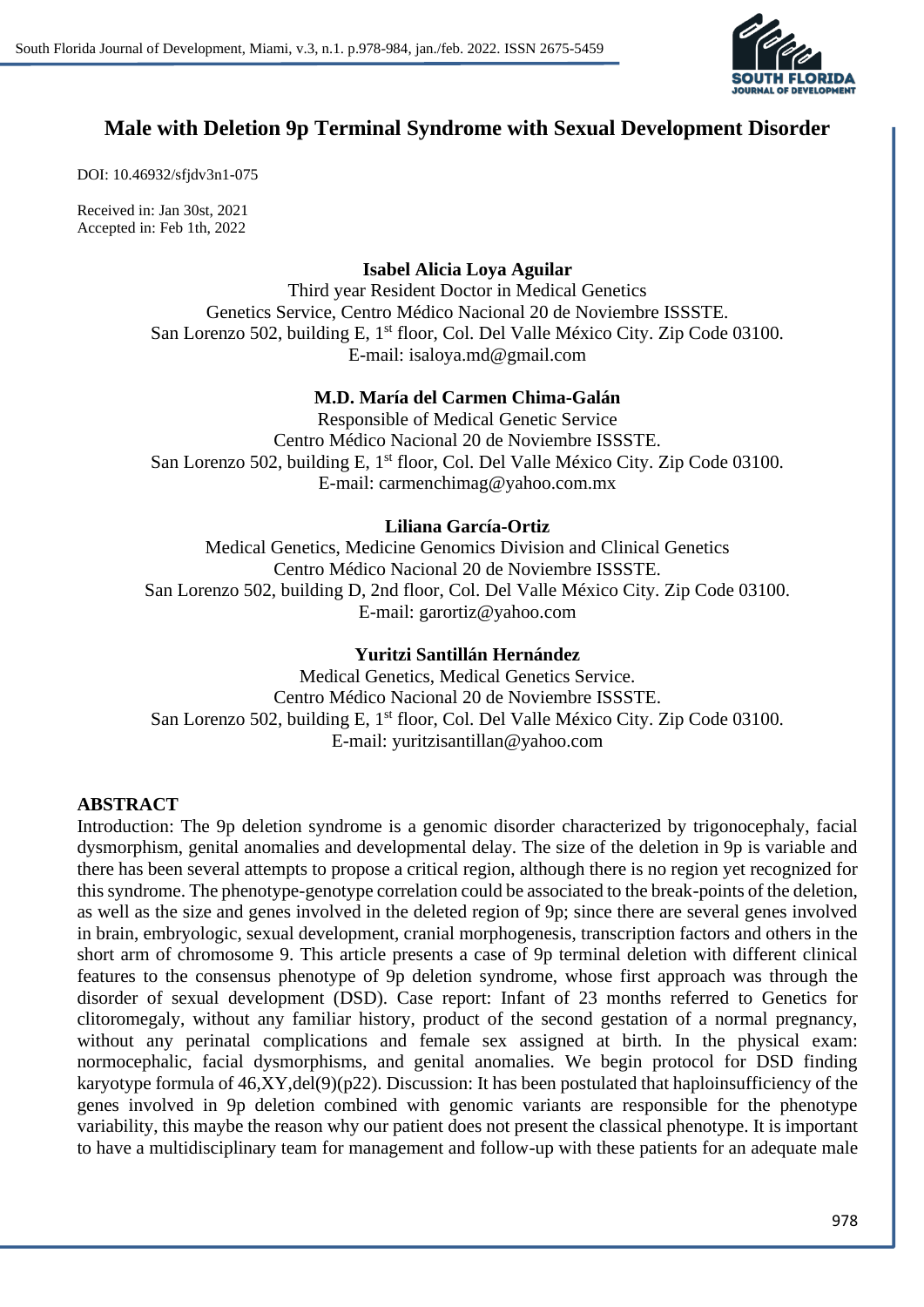

# **Male with Deletion 9p Terminal Syndrome with Sexual Development Disorder**

DOI: 10.46932/sfjdv3n1-075

Received in: Jan 30st, 2021 Accepted in: Feb 1th, 2022

**Isabel Alicia Loya Aguilar**

Third year Resident Doctor in Medical Genetics Genetics Service, Centro Médico Nacional 20 de Noviembre ISSSTE. San Lorenzo 502, building E, 1<sup>st</sup> floor, Col. Del Valle México City. Zip Code 03100. E-mail: isaloya.md@gmail.com

# **M.D. María del Carmen Chima-Galán**

Responsible of Medical Genetic Service Centro Médico Nacional 20 de Noviembre ISSSTE. San Lorenzo 502, building E, 1<sup>st</sup> floor, Col. Del Valle México City. Zip Code 03100. E-mail: carmenchimag@yahoo.com.mx

# **Liliana García-Ortiz**

Medical Genetics, Medicine Genomics Division and Clinical Genetics Centro Médico Nacional 20 de Noviembre ISSSTE. San Lorenzo 502, building D, 2nd floor, Col. Del Valle México City. Zip Code 03100. E-mail: garortiz@yahoo.com

### **Yuritzi Santillán Hernández**

Medical Genetics, Medical Genetics Service. Centro Médico Nacional 20 de Noviembre ISSSTE. San Lorenzo 502, building E, 1<sup>st</sup> floor, Col. Del Valle México City. Zip Code 03100. E-mail: yuritzisantillan@yahoo.com

# **ABSTRACT**

Introduction: The 9p deletion syndrome is a genomic disorder characterized by trigonocephaly, facial dysmorphism, genital anomalies and developmental delay. The size of the deletion in 9p is variable and there has been several attempts to propose a critical region, although there is no region yet recognized for thissyndrome. The phenotype-genotype correlation could be associated to the break-points of the deletion, as well as the size and genes involved in the deleted region of 9p; since there are several genes involved in brain, embryologic, sexual development, cranial morphogenesis, transcription factors and others in the short arm of chromosome 9. This article presents a case of 9p terminal deletion with different clinical features to the consensus phenotype of 9p deletion syndrome, whose first approach was through the disorder of sexual development (DSD). Case report: Infant of 23 months referred to Genetics for clitoromegaly, without any familiar history, product of the second gestation of a normal pregnancy, without any perinatal complications and female sex assigned at birth. In the physical exam: normocephalic, facial dysmorphisms, and genital anomalies. We begin protocol for DSD finding karyotype formula of 46,XY,del(9)(p22). Discussion: It has been postulated that haploinsufficiency of the genes involved in 9p deletion combined with genomic variants are responsible for the phenotype variability, this maybe the reason why our patient does not present the classical phenotype. It is important to have a multidisciplinary team for management and follow-up with these patients for an adequate male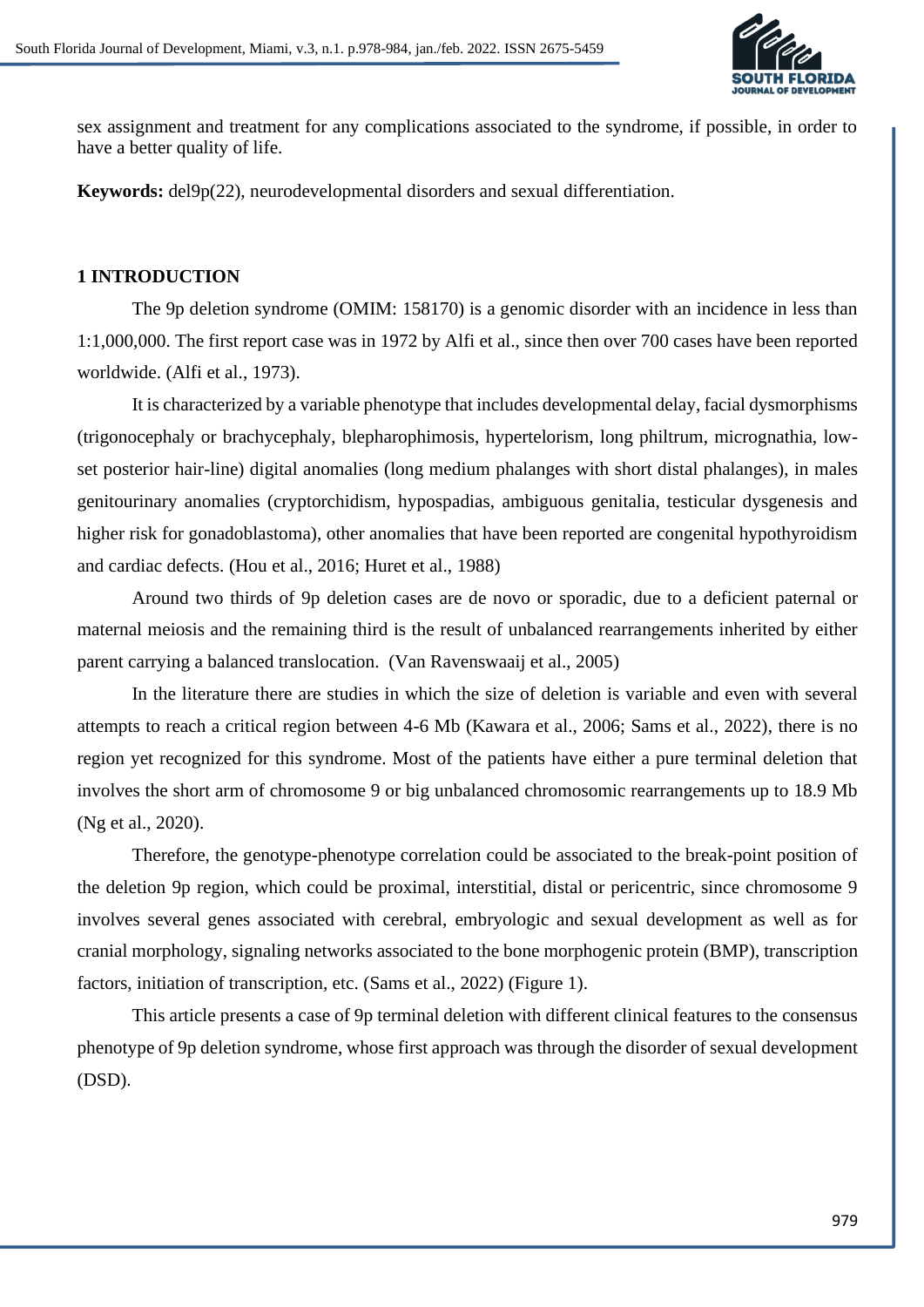

sex assignment and treatment for any complications associated to the syndrome, if possible, in order to have a better quality of life.

**Keywords:** del9p(22), neurodevelopmental disorders and sexual differentiation.

#### **1 INTRODUCTION**

The 9p deletion syndrome (OMIM: 158170) is a genomic disorder with an incidence in less than 1:1,000,000. The first report case was in 1972 by Alfi et al., since then over 700 cases have been reported worldwide. (Alfi et al., 1973).

It is characterized by a variable phenotype that includes developmental delay, facial dysmorphisms (trigonocephaly or brachycephaly, blepharophimosis, hypertelorism, long philtrum, micrognathia, lowset posterior hair-line) digital anomalies (long medium phalanges with short distal phalanges), in males genitourinary anomalies (cryptorchidism, hypospadias, ambiguous genitalia, testicular dysgenesis and higher risk for gonadoblastoma), other anomalies that have been reported are congenital hypothyroidism and cardiac defects. (Hou et al., 2016; Huret et al., 1988)

Around two thirds of 9p deletion cases are de novo or sporadic, due to a deficient paternal or maternal meiosis and the remaining third is the result of unbalanced rearrangements inherited by either parent carrying a balanced translocation. (Van Ravenswaaij et al., 2005)

In the literature there are studies in which the size of deletion is variable and even with several attempts to reach a critical region between 4-6 Mb (Kawara et al., 2006; Sams et al., 2022), there is no region yet recognized for this syndrome. Most of the patients have either a pure terminal deletion that involves the short arm of chromosome 9 or big unbalanced chromosomic rearrangements up to 18.9 Mb (Ng et al., 2020).

Therefore, the genotype-phenotype correlation could be associated to the break-point position of the deletion 9p region, which could be proximal, interstitial, distal or pericentric, since chromosome 9 involves several genes associated with cerebral, embryologic and sexual development as well as for cranial morphology, signaling networks associated to the bone morphogenic protein (BMP), transcription factors, initiation of transcription, etc. (Sams et al., 2022) (Figure 1).

This article presents a case of 9p terminal deletion with different clinical features to the consensus phenotype of 9p deletion syndrome, whose first approach was through the disorder of sexual development (DSD).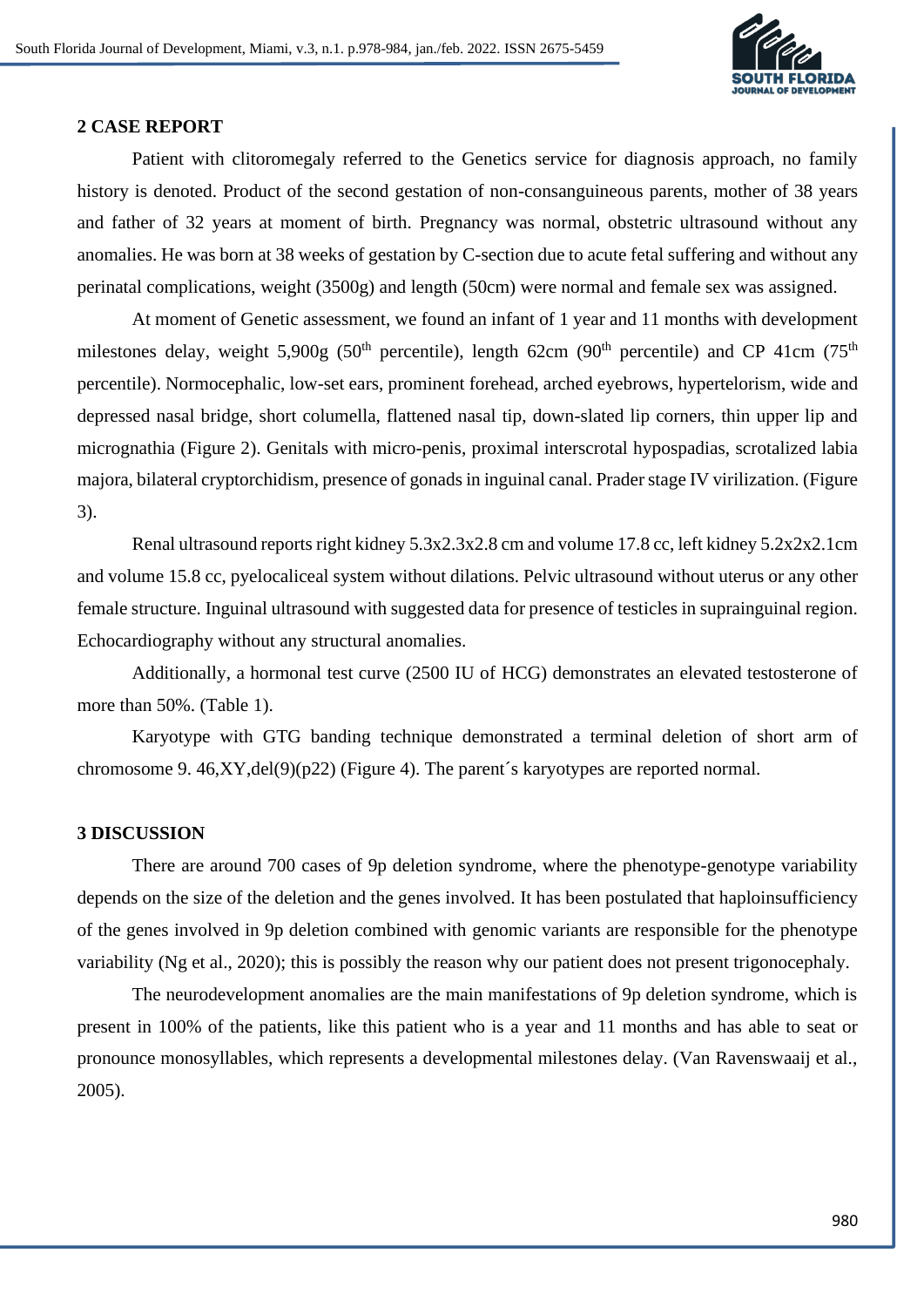

#### **2 CASE REPORT**

Patient with clitoromegaly referred to the Genetics service for diagnosis approach, no family history is denoted. Product of the second gestation of non-consanguineous parents, mother of 38 years and father of 32 years at moment of birth. Pregnancy was normal, obstetric ultrasound without any anomalies. He was born at 38 weeks of gestation by C-section due to acute fetal suffering and without any perinatal complications, weight (3500g) and length (50cm) were normal and female sex was assigned.

At moment of Genetic assessment, we found an infant of 1 year and 11 months with development milestones delay, weight 5,900g (50<sup>th</sup> percentile), length 62cm (90<sup>th</sup> percentile) and CP 41cm (75<sup>th</sup>) percentile). Normocephalic, low-set ears, prominent forehead, arched eyebrows, hypertelorism, wide and depressed nasal bridge, short columella, flattened nasal tip, down-slated lip corners, thin upper lip and micrognathia (Figure 2). Genitals with micro-penis, proximal interscrotal hypospadias, scrotalized labia majora, bilateral cryptorchidism, presence of gonads in inguinal canal. Prader stage IV virilization. (Figure 3).

Renal ultrasound reports right kidney 5.3x2.3x2.8 cm and volume 17.8 cc, left kidney 5.2x2x2.1cm and volume 15.8 cc, pyelocaliceal system without dilations. Pelvic ultrasound without uterus or any other female structure. Inguinal ultrasound with suggested data for presence of testicles in suprainguinal region. Echocardiography without any structural anomalies.

Additionally, a hormonal test curve (2500 IU of HCG) demonstrates an elevated testosterone of more than 50%. (Table 1).

Karyotype with GTG banding technique demonstrated a terminal deletion of short arm of chromosome 9. 46,XY,del(9)(p22) (Figure 4). The parent´s karyotypes are reported normal.

### **3 DISCUSSION**

There are around 700 cases of 9p deletion syndrome, where the phenotype-genotype variability depends on the size of the deletion and the genes involved. It has been postulated that haploinsufficiency of the genes involved in 9p deletion combined with genomic variants are responsible for the phenotype variability (Ng et al., 2020); this is possibly the reason why our patient does not present trigonocephaly.

The neurodevelopment anomalies are the main manifestations of 9p deletion syndrome, which is present in 100% of the patients, like this patient who is a year and 11 months and has able to seat or pronounce monosyllables, which represents a developmental milestones delay. (Van Ravenswaaij et al., 2005).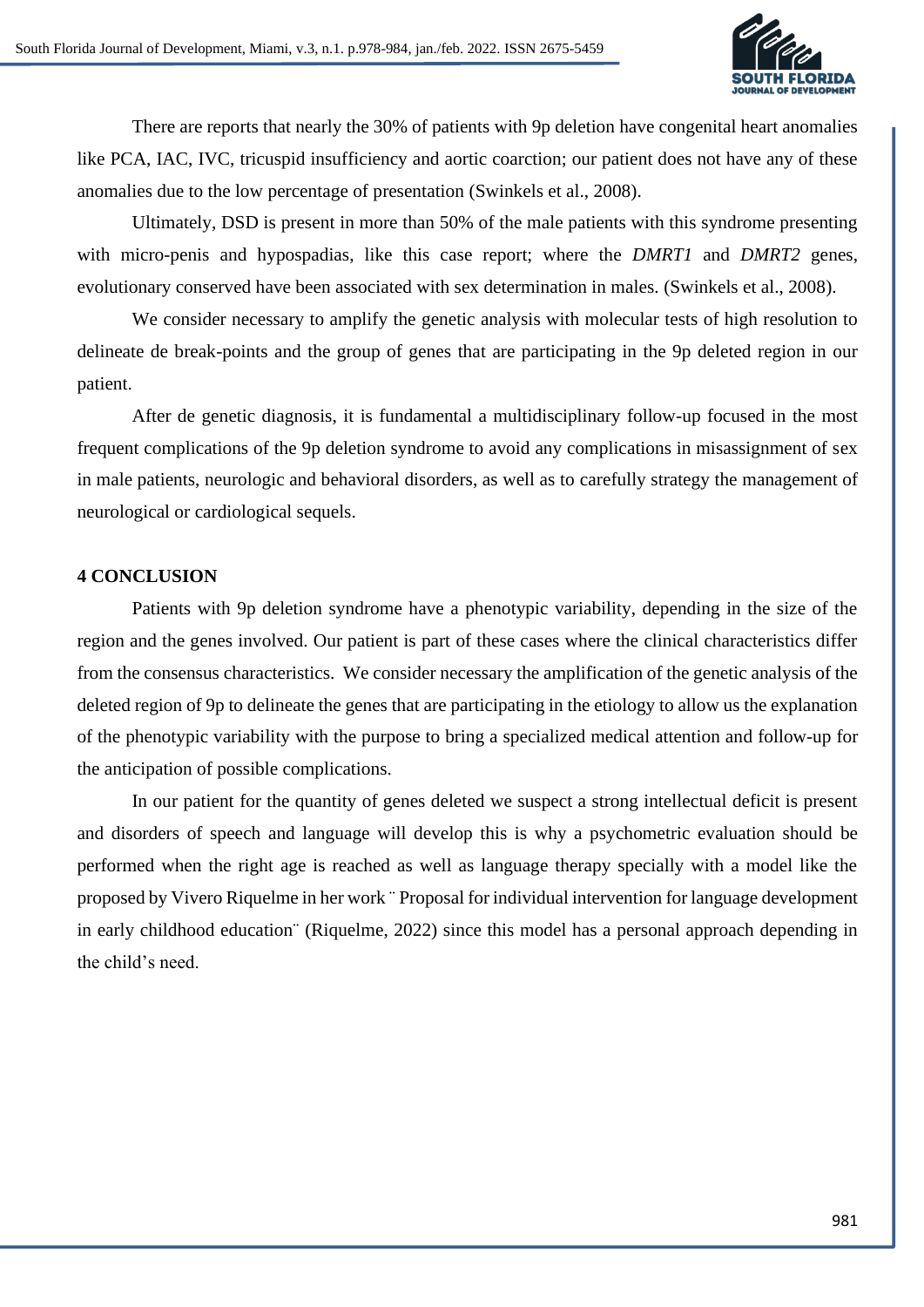

There are reports that nearly the 30% of patients with 9p deletion have congenital heart anomalies like PCA, IAC, IVC, tricuspid insufficiency and aortic coarction; our patient does not have any of these anomalies due to the low percentage of presentation (Swinkels et al., 2008).

Ultimately, DSD is present in more than 50% of the male patients with this syndrome presenting with micro-penis and hypospadias, like this case report; where the *DMRT1* and *DMRT2* genes, evolutionary conserved have been associated with sex determination in males. (Swinkels et al., 2008).

We consider necessary to amplify the genetic analysis with molecular tests of high resolution to delineate de break-points and the group of genes that are participating in the 9p deleted region in our patient.

After de genetic diagnosis, it is fundamental a multidisciplinary follow-up focused in the most frequent complications of the 9p deletion syndrome to avoid any complications in misassignment of sex in male patients, neurologic and behavioral disorders, as well as to carefully strategy the management of neurological or cardiological sequels.

### **4 CONCLUSION**

Patients with 9p deletion syndrome have a phenotypic variability, depending in the size of the region and the genes involved. Our patient is part of these cases where the clinical characteristics differ from the consensus characteristics. We consider necessary the amplification of the genetic analysis of the deleted region of 9p to delineate the genes that are participating in the etiology to allow us the explanation of the phenotypic variability with the purpose to bring a specialized medical attention and follow-up for the anticipation of possible complications.

In our patient for the quantity of genes deleted we suspect a strong intellectual deficit is present and disorders of speech and language will develop this is why a psychometric evaluation should be performed when the right age is reached as well as language therapy specially with a model like the proposed by Vivero Riquelme in her work ¨ Proposal for individual intervention for language development in early childhood education¨ (Riquelme, 2022) since this model has a personal approach depending in the child's need.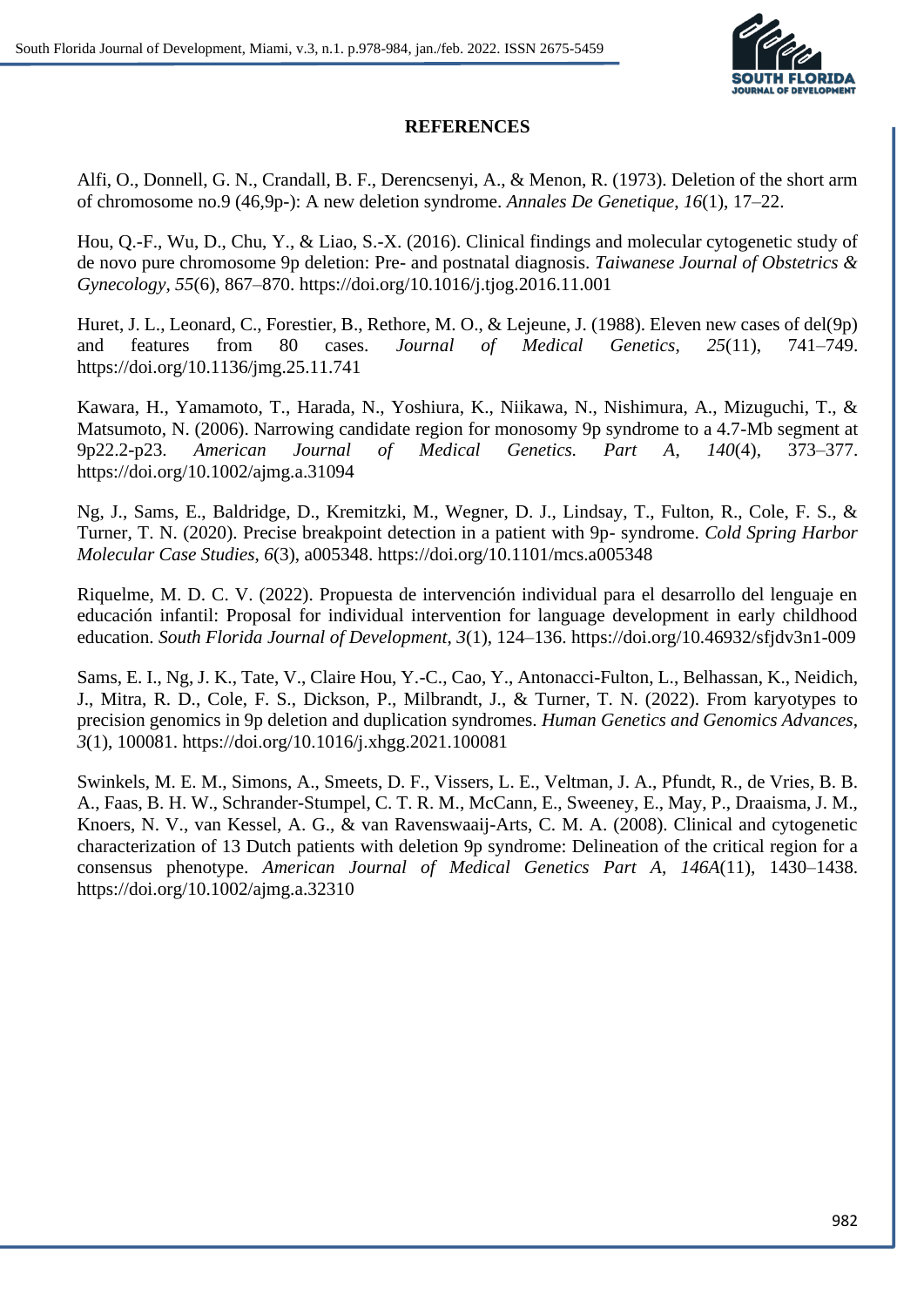

# **REFERENCES**

Alfi, O., Donnell, G. N., Crandall, B. F., Derencsenyi, A., & Menon, R. (1973). Deletion of the short arm of chromosome no.9 (46,9p-): A new deletion syndrome. *Annales De Genetique*, *16*(1), 17–22.

Hou, Q.-F., Wu, D., Chu, Y., & Liao, S.-X. (2016). Clinical findings and molecular cytogenetic study of de novo pure chromosome 9p deletion: Pre- and postnatal diagnosis. *Taiwanese Journal of Obstetrics & Gynecology*, *55*(6), 867–870. https://doi.org/10.1016/j.tjog.2016.11.001

Huret, J. L., Leonard, C., Forestier, B., Rethore, M. O., & Lejeune, J. (1988). Eleven new cases of del(9p) and features from 80 cases. *Journal of Medical Genetics*, *25*(11), 741–749. https://doi.org/10.1136/jmg.25.11.741

Kawara, H., Yamamoto, T., Harada, N., Yoshiura, K., Niikawa, N., Nishimura, A., Mizuguchi, T., & Matsumoto, N. (2006). Narrowing candidate region for monosomy 9p syndrome to a 4.7-Mb segment at 9p22.2-p23. *American Journal of Medical Genetics. Part A*, *140*(4), 373–377. https://doi.org/10.1002/ajmg.a.31094

Ng, J., Sams, E., Baldridge, D., Kremitzki, M., Wegner, D. J., Lindsay, T., Fulton, R., Cole, F. S., & Turner, T. N. (2020). Precise breakpoint detection in a patient with 9p- syndrome. *Cold Spring Harbor Molecular Case Studies*, *6*(3), a005348. https://doi.org/10.1101/mcs.a005348

Riquelme, M. D. C. V. (2022). Propuesta de intervención individual para el desarrollo del lenguaje en educación infantil: Proposal for individual intervention for language development in early childhood education. *South Florida Journal of Development*, *3*(1), 124–136. https://doi.org/10.46932/sfjdv3n1-009

Sams, E. I., Ng, J. K., Tate, V., Claire Hou, Y.-C., Cao, Y., Antonacci-Fulton, L., Belhassan, K., Neidich, J., Mitra, R. D., Cole, F. S., Dickson, P., Milbrandt, J., & Turner, T. N. (2022). From karyotypes to precision genomics in 9p deletion and duplication syndromes. *Human Genetics and Genomics Advances*, *3*(1), 100081. https://doi.org/10.1016/j.xhgg.2021.100081

Swinkels, M. E. M., Simons, A., Smeets, D. F., Vissers, L. E., Veltman, J. A., Pfundt, R., de Vries, B. B. A., Faas, B. H. W., Schrander-Stumpel, C. T. R. M., McCann, E., Sweeney, E., May, P., Draaisma, J. M., Knoers, N. V., van Kessel, A. G., & van Ravenswaaij-Arts, C. M. A. (2008). Clinical and cytogenetic characterization of 13 Dutch patients with deletion 9p syndrome: Delineation of the critical region for a consensus phenotype. *American Journal of Medical Genetics Part A*, *146A*(11), 1430–1438. https://doi.org/10.1002/ajmg.a.32310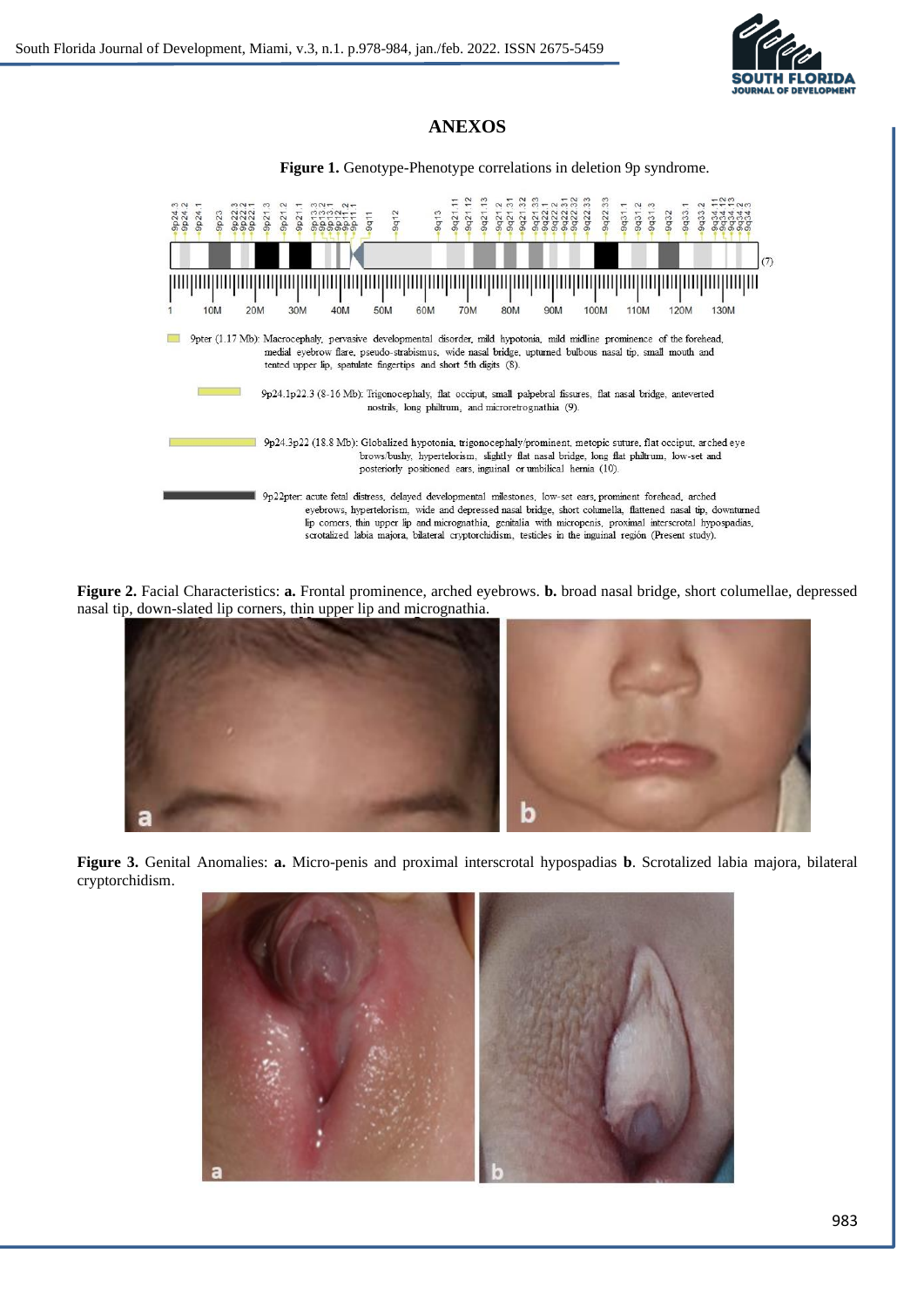

# **ANEXOS**

| <b>Figure 1.</b> Genotype-Phenotype correlations in deletion 9p syndrome.                                                                                                                                                                                                                                                                                                                                                                                                       |                                                                                                                                                                                                                                                                                                                                                                                                                                                  |             |            |                |                                                                         |           |  |  |
|---------------------------------------------------------------------------------------------------------------------------------------------------------------------------------------------------------------------------------------------------------------------------------------------------------------------------------------------------------------------------------------------------------------------------------------------------------------------------------|--------------------------------------------------------------------------------------------------------------------------------------------------------------------------------------------------------------------------------------------------------------------------------------------------------------------------------------------------------------------------------------------------------------------------------------------------|-------------|------------|----------------|-------------------------------------------------------------------------|-----------|--|--|
| $\sim$ $\sim$<br>9p24<br>9p24<br>p24<br>$\sim$<br>$\frac{a}{2}$<br>$\sigma$<br>$\sigma$<br>തൈ                                                                                                                                                                                                                                                                                                                                                                                   | $\sim$<br>$\sim$<br>$\Omega$<br>$\Omega$<br>$\sigma$<br>$\sigma$                                                                                                                                                                                                                                                                                                                                                                                 | 9q13<br>9q1 | 9q2<br>9q2 | 9q22.<br>9q22. | 9q31.<br>$\overline{ }$<br>9q33<br>$\overline{ }$<br>9q32<br>9q3<br>9q3 | $-\Delta$ |  |  |
|                                                                                                                                                                                                                                                                                                                                                                                                                                                                                 |                                                                                                                                                                                                                                                                                                                                                                                                                                                  |             |            |                |                                                                         |           |  |  |
| 10M                                                                                                                                                                                                                                                                                                                                                                                                                                                                             | 30M<br>40M<br>20M                                                                                                                                                                                                                                                                                                                                                                                                                                | 60M<br>50M  | 70M<br>80M | 100M<br>90M    | 120M<br>110M                                                            | 130M      |  |  |
| 9pter (1.17 Mb): Macrocephaly, pervasive developmental disorder, mild hypotonia, mild midline prominence of the forehead,<br>medial eyebrow flare, pseudo-strabismus, wide nasal bridge, upturned bulbous nasal tip, small mouth and<br>tented upper lip, spatulate fingertips and short 5th digits (8).<br>9p24.1p22.3 (8-16 Mb): Trigonocephaly, flat occiput, small palpebral fissures, flat nasal bridge, anteverted<br>nostrils, long philtrum, and microretrognathia (9). |                                                                                                                                                                                                                                                                                                                                                                                                                                                  |             |            |                |                                                                         |           |  |  |
| 9p24.3p22 (18.8 Mb): Globalized hypotonia, trigonocephaly/prominent, metopic suture, flat occiput, arched eye<br>brows/bushy, hypertelorism, slightly flat nasal bridge, long flat philtrum, low-set and<br>posteriorly positioned ears, inguinal or umbilical hernia (10).                                                                                                                                                                                                     |                                                                                                                                                                                                                                                                                                                                                                                                                                                  |             |            |                |                                                                         |           |  |  |
|                                                                                                                                                                                                                                                                                                                                                                                                                                                                                 | 9p22pter: acute fetal distress, delayed developmental milestones, low-set ears, prominent forehead, arched<br>eyebrows, hypertelorism, wide and depressed nasal bridge, short columella, flattened nasal tip, downturned<br>lip corners, thin upper lip and micrognathia, genitalia with micropenis, proximal interscrotal hypospadias,<br>scrotalized labia majora, bilateral cryptorchidism, testicles in the inguinal región (Present study). |             |            |                |                                                                         |           |  |  |

**Figure 2.** Facial Characteristics: **a.** Frontal prominence, arched eyebrows. **b.** broad nasal bridge, short columellae, depressed nasal tip, down-slated lip corners, thin upper lip and micrognathia.



**Figure 3.** Genital Anomalies: **a.** Micro-penis and proximal interscrotal hypospadias **b**. Scrotalized labia majora, bilateral cryptorchidism.